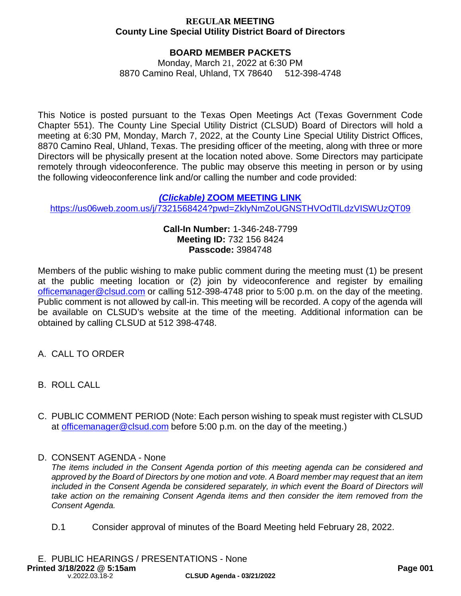## **BOARD MEMBER PACKETS**

Monday, March 21, 2022 at 6:30 PM 8870 Camino Real, Uhland, TX 78640 512-398-4748

This Notice is posted pursuant to the Texas Open Meetings Act (Texas Government Code Chapter 551). The County Line Special Utility District (CLSUD) Board of Directors will hold a meeting at 6:30 PM, Monday, March 7, 2022, at the County Line Special Utility District Offices, 8870 Camino Real, Uhland, Texas. The presiding officer of the meeting, along with three or more Directors will be physically present at the location noted above. Some Directors may participate remotely through videoconference. The public may observe this meeting in person or by using the following videoconference link and/or calling the number and code provided:

### *(Clickable)* **ZOOM MEETING LINK**

https://us06web.zoom.us/j/7321568424?pwd=ZklyNmZoUGNSTHVOdTlLdzVISWUzQT09

### **Call-In Number:** 1-346-248-7799 **Meeting ID:** 732 156 8424 **Passcode:** 3984748

Members of the public wishing to make public comment during the meeting must (1) be present at the public meeting location or (2) join by videoconference and register by emailing officemanager@clsud.com or calling 512-398-4748 prior to 5:00 p.m. on the day of the meeting. Public comment is not allowed by call-in. This meeting will be recorded. A copy of the agenda will be available on CLSUD's website at the time of the meeting. Additional information can be obtained by calling CLSUD at 512 398-4748.

- A. CALL TO ORDER
- B. ROLL CALL
- C. PUBLIC COMMENT PERIOD (Note: Each person wishing to speak must register with CLSUD at officemanager@clsud.com before 5:00 p.m. on the day of the meeting.)
- D. CONSENT AGENDA None

*The items included in the Consent Agenda portion of this meeting agenda can be considered and approved by the Board of Directors by one motion and vote. A Board member may request that an item included in the Consent Agenda be considered separately, in which event the Board of Directors will take action on the remaining Consent Agenda items and then consider the item removed from the Consent Agenda.*

D.1 Consider approval of minutes of the Board Meeting held February 28, 2022.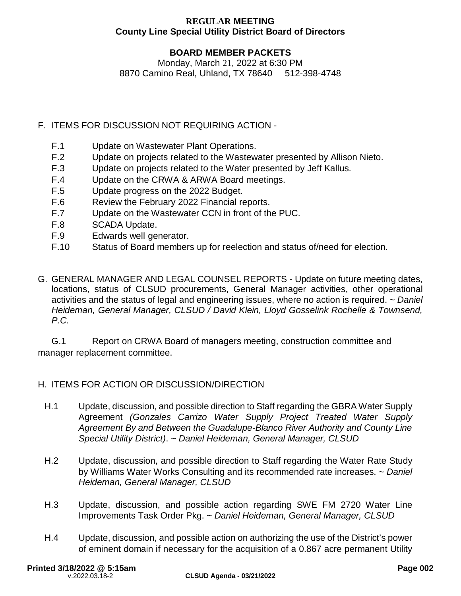# **BOARD MEMBER PACKETS**

Monday, March 21, 2022 at 6:30 PM 8870 Camino Real, Uhland, TX 78640 512-398-4748

- F. ITEMS FOR DISCUSSION NOT REQUIRING ACTION
	- F.1 Update on Wastewater Plant Operations.
	- F.2 Update on projects related to the Wastewater presented by Allison Nieto.
	- F.3 Update on projects related to the Water presented by Jeff Kallus.
	- F.4 Update on the CRWA & ARWA Board meetings.
	- F.5 Update progress on the 2022 Budget.
	- F.6 Review the February 2022 Financial reports.
	- F.7 Update on the Wastewater CCN in front of the PUC.
	- F.8 SCADA Update.
	- F.9 Edwards well generator.
	- F.10 Status of Board members up for reelection and status of/need for election.
- G. GENERAL MANAGER AND LEGAL COUNSEL REPORTS Update on future meeting dates, locations, status of CLSUD procurements, General Manager activities, other operational activities and the status of legal and engineering issues, where no action is required. *~ Daniel Heideman, General Manager, CLSUD / David Klein, Lloyd Gosselink Rochelle & Townsend, P.C.*

G.1 Report on CRWA Board of managers meeting, construction committee and manager replacement committee.

# H. ITEMS FOR ACTION OR DISCUSSION/DIRECTION

- H.1 Update, discussion, and possible direction to Staff regarding the GBRA Water Supply Agreement *(Gonzales Carrizo Water Supply Project Treated Water Supply Agreement By and Between the Guadalupe-Blanco River Authority and County Line Special Utility District)*. *~ Daniel Heideman, General Manager, CLSUD*
- H.2 Update, discussion, and possible direction to Staff regarding the Water Rate Study by Williams Water Works Consulting and its recommended rate increases. *~ Daniel Heideman, General Manager, CLSUD*
- H.3 Update, discussion, and possible action regarding SWE FM 2720 Water Line Improvements Task Order Pkg. *~ Daniel Heideman, General Manager, CLSUD*
- H.4 Update, discussion, and possible action on authorizing the use of the District's power of eminent domain if necessary for the acquisition of a 0.867 acre permanent Utility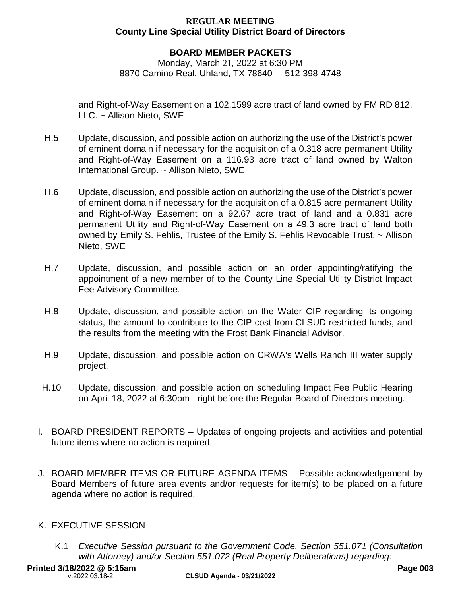## **BOARD MEMBER PACKETS**

Monday, March 21, 2022 at 6:30 PM 8870 Camino Real, Uhland, TX 78640 512-398-4748

and Right-of-Way Easement on a 102.1599 acre tract of land owned by FM RD 812, LLC. ~ Allison Nieto, SWE

- H.5 Update, discussion, and possible action on authorizing the use of the District's power of eminent domain if necessary for the acquisition of a 0.318 acre permanent Utility and Right-of-Way Easement on a 116.93 acre tract of land owned by Walton International Group. ~ Allison Nieto, SWE
- H.6 Update, discussion, and possible action on authorizing the use of the District's power of eminent domain if necessary for the acquisition of a 0.815 acre permanent Utility and Right-of-Way Easement on a 92.67 acre tract of land and a 0.831 acre permanent Utility and Right-of-Way Easement on a 49.3 acre tract of land both owned by Emily S. Fehlis, Trustee of the Emily S. Fehlis Revocable Trust. ~ Allison Nieto, SWE
- H.7 Update, discussion, and possible action on an order appointing/ratifying the appointment of a new member of to the County Line Special Utility District Impact Fee Advisory Committee.
- H.8 Update, discussion, and possible action on the Water CIP regarding its ongoing status, the amount to contribute to the CIP cost from CLSUD restricted funds, and the results from the meeting with the Frost Bank Financial Advisor.
- H.9 Update, discussion, and possible action on CRWA's Wells Ranch III water supply project.
- H.10 Update, discussion, and possible action on scheduling Impact Fee Public Hearing on April 18, 2022 at 6:30pm - right before the Regular Board of Directors meeting.
- I. BOARD PRESIDENT REPORTS Updates of ongoing projects and activities and potential future items where no action is required.
- J. BOARD MEMBER ITEMS OR FUTURE AGENDA ITEMS Possible acknowledgement by Board Members of future area events and/or requests for item(s) to be placed on a future agenda where no action is required.

## K. EXECUTIVE SESSION

K.1 *Executive Session pursuant to the Government Code, Section 551.071 (Consultation with Attorney) and/or Section 551.072 (Real Property Deliberations) regarding:*